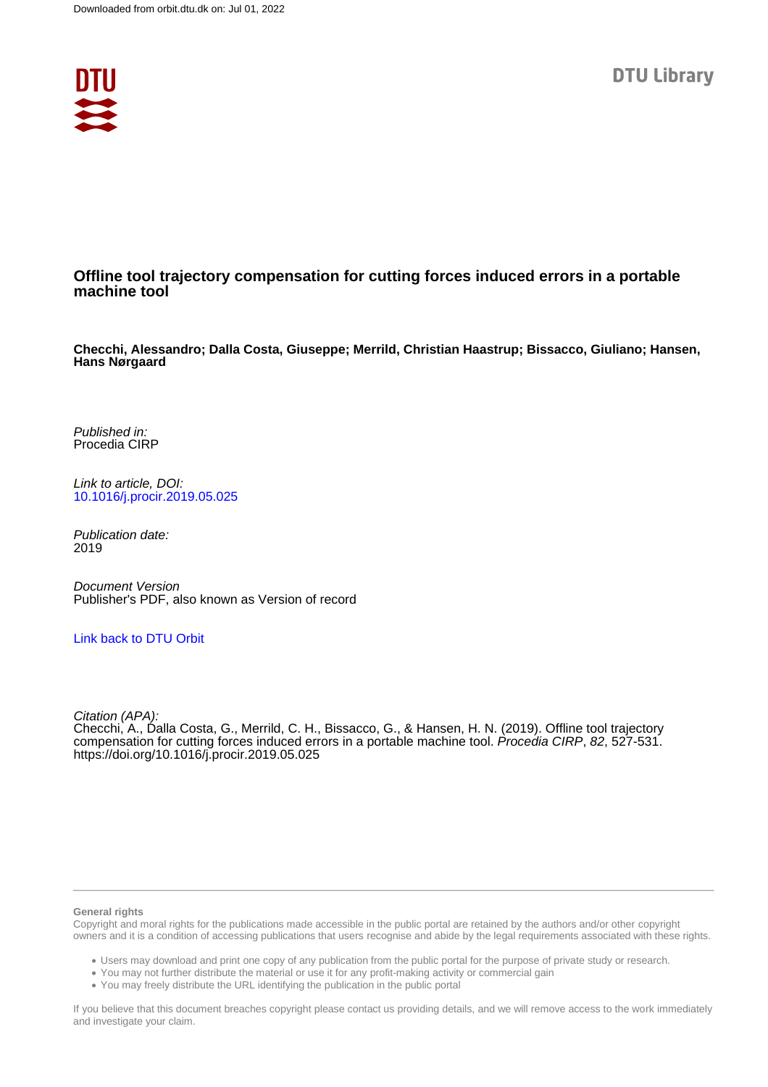

### **Offline tool trajectory compensation for cutting forces induced errors in a portable machine tool**

**Checchi, Alessandro; Dalla Costa, Giuseppe; Merrild, Christian Haastrup; Bissacco, Giuliano; Hansen, Hans Nørgaard**

Published in: Procedia CIRP

Link to article, DOI: [10.1016/j.procir.2019.05.025](https://doi.org/10.1016/j.procir.2019.05.025)

Publication date: 2019

Document Version Publisher's PDF, also known as Version of record

[Link back to DTU Orbit](https://orbit.dtu.dk/en/publications/c246af62-8eb0-4285-b199-2b1ba52597f6)

Citation (APA): Checchi, A., Dalla Costa, G., Merrild, C. H., Bissacco, G., & Hansen, H. N. (2019). Offline tool trajectory compensation for cutting forces induced errors in a portable machine tool. Procedia CIRP, 82, 527-531. <https://doi.org/10.1016/j.procir.2019.05.025>

#### **General rights**

Copyright and moral rights for the publications made accessible in the public portal are retained by the authors and/or other copyright owners and it is a condition of accessing publications that users recognise and abide by the legal requirements associated with these rights.

Users may download and print one copy of any publication from the public portal for the purpose of private study or research.

- You may not further distribute the material or use it for any profit-making activity or commercial gain
- You may freely distribute the URL identifying the publication in the public portal

If you believe that this document breaches copyright please contact us providing details, and we will remove access to the work immediately and investigate your claim.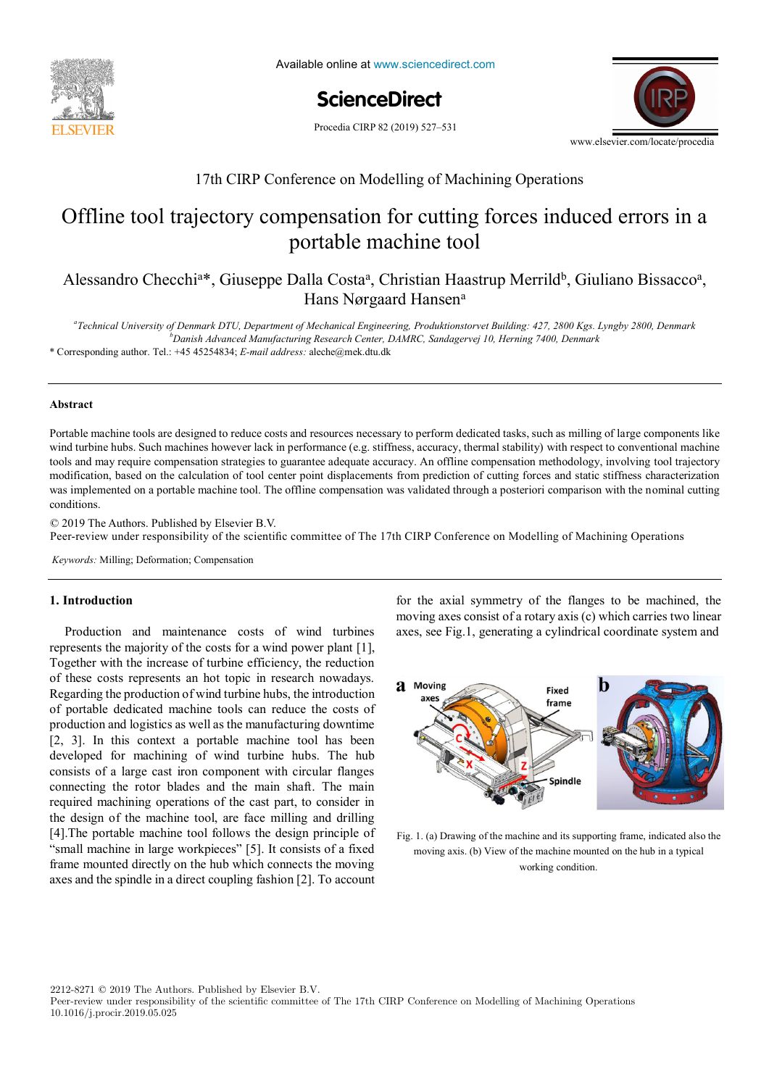

Available online at www.sciencedirect.com

**ScienceDirect** ScienceDirect Procedia CIRP 00 (2019) 000–000

Procedia CIRP 82 (2019) 527-531



# 17th CIRP Conference on Modelling of Machining Operations

## Offline tool trajectory compensation for cutting forces induced errors in a portuon mutuline tool portable machine tool

Alessandro Checchi<sup>a\*</sup>, Giuseppe Dalla Costa<sup>a</sup>, Christian Haastrup Merrild<sup>b</sup>, Giuliano Bissacco<sup>a</sup>, *Technical University of Denmark DTU, Department of Mechanical Engineering, Produktionstorvet Building: 427, 2800 Kgs. Lyngby 2800, Denmark* Hans Nørgaard Hansena *Danish Advanced Manufacturing Research Center, DAMRC, Sandagervej 10, Herning 7400, Denmark*

<sup>a</sup>Technical University of Denmark DTU, Department of Mechanical Engineering, Produktionstorvet Building: 427, 2800 Kgs. Lyngby 2800, Denmark *École Nationale Supérieure d'Arts et Métiers, Arts et Métiers ParisTech, LCFC EA 4495, 4 Rue Augustin Fresnel, Metz 57078, France*  \* Corresponding author. Tel.: +45 45254834; *E-mail address:* aleche@mek.dtu.dk *b Danish Advanced Manufacturing Research Center, DAMRC, Sandagervej 10, Herning 7400, Denmark*

#### Portable machine tools are designed to reduce costs and resources necessary to perform dedicated tasks, such as milling of large components like **Abstract**

Portable machine tools are designed to reduce costs and resources necessary to perform dedicated tasks, such as milling of large components like tools and may require compensation strategies to guarantee adequate accuracy. An offline compensation methodology, involving tool trajectory modification, based on the calculation of tool center point displacements from prediction of cutting forces and static stiffness characterization was implemented on a portable machine tool. The offline compensation was validated through a posteriori comparison with the nominal cutting and product family on the physical level. Different product families, however, may different product families,  $\frac{1}{2}$ wind turbine hubs. Such machines however lack in performance (e.g. stiffness, accuracy, thermal stability) with respect to conventional machine conditions.

© 2019 The Authors. Published by Elsevier B.V.

\* Corresponding author. Tel.: +33 3 87 37 54 30; *E-mail address:* paul.stief@ensam.eu

Peer-review under responsibility of the scientific committee of The 17th CIRP Conference on Modelling of Machining Operations Peer-review under responsibility of the scientific committee of The 17th CIRP Conference on Modelling of Machining Operations,

a functional analysis is performed. Moreover, a hybrid functional and physical architecture graph (HyFPAG) is the output which depicts the

*Keywords:* Milling; Deformation; Compensation

#### **1. Introduction**

Production and maintenance costs of wind turbines represents the majority of the costs for a wind power plant  $[1]$ , of these costs represents an hot topic in research nowadays. production and logistics as wen as the manufacturing downtime<br>[2, 3]. In this context a portable machine tool has been developed for machining of wind turbine hubs. The hub consistents are not increased with simple flame or connecting the rotor blades and the main shaft. The main shaft. connecting the rotor biates and the main share. The man required machining operations of the cast part, to consider in the decision of the cast iron component with component with consider in the design of the machine tool, are face infining and drining [4]. The portable machine tool follows the design principle of  $\left[\frac{1}{2}\right]$ . The pottable machine tool follows the design principle of  $\frac{1}{2}$ "small machine in large workpieces" [5]. It consists of a fixed for the machine tool, are face milling and drilling and drilling and drilling and drilling and drilling and drilling and drilling and drilling and drilling an manic mounted uncerly on the muo winen connects the moving axes and the spindle in a direct coupling fashion [2]. To account Together with the increase of turbine efficiency, the reduction Regarding the production of wind turbine hubs, the introduction of portable dedicated machine tools can reduce the costs of production and logistics as well as the manufacturing downtime consists of a large cast iron component with circular flanges the design of the machine tool, are face milling and drilling frame mounted directly on the hub which connects the moving

similarity between product families by providing design support to both, production system planners and product designers. An illustrative **1. Introduction** for the axial symmetry of the flanges to be machined, the moving axes consist of a rotary axis (c) which carries two linear axes, see Fig.1, generating a cylindrical coordinate system and



Fig. 1. (a) Drawing of the machine and its supporting frame, indicated also the moving axis. (b) View of the machine mounted on the hub in a typical working condition.

2212-8271 © 2019 The Authors. Published by Elsevier B.V.

Peer-review under responsibility of the scientific committee of The 17th CIRP Conference on Modelling of Machining Operations 10.1016/j.procir.2019.05.025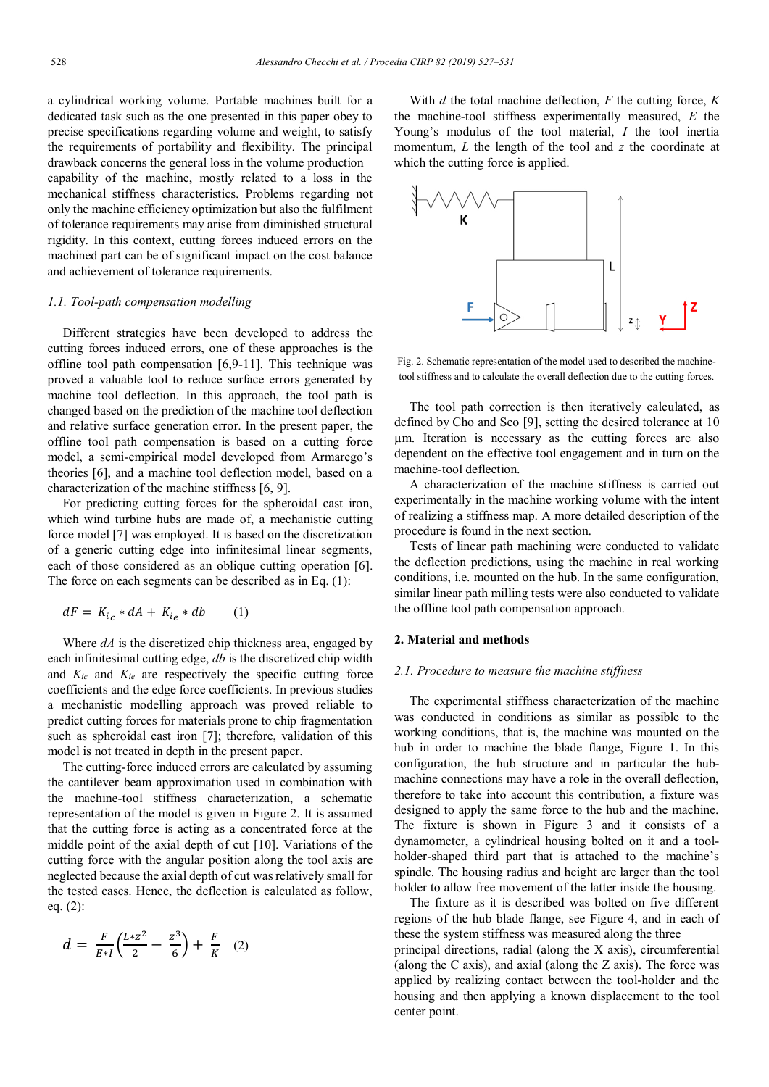a cylindrical working volume. Portable machines built for a dedicated task such as the one presented in this paper obey to precise specifications regarding volume and weight, to satisfy the requirements of portability and flexibility. The principal drawback concerns the general loss in the volume production capability of the machine, mostly related to a loss in the mechanical stiffness characteristics. Problems regarding not only the machine efficiency optimization but also the fulfilment of tolerance requirements may arise from diminished structural rigidity. In this context, cutting forces induced errors on the machined part can be of significant impact on the cost balance and achievement of tolerance requirements.

#### *1.1. Tool-path compensation modelling*

Different strategies have been developed to address the cutting forces induced errors, one of these approaches is the offline tool path compensation [6,9-11]. This technique was proved a valuable tool to reduce surface errors generated by machine tool deflection. In this approach, the tool path is changed based on the prediction of the machine tool deflection and relative surface generation error. In the present paper, the offline tool path compensation is based on a cutting force model, a semi-empirical model developed from Armarego's theories [6], and a machine tool deflection model, based on a characterization of the machine stiffness [6, 9].

For predicting cutting forces for the spheroidal cast iron, which wind turbine hubs are made of, a mechanistic cutting force model [7] was employed. It is based on the discretization of a generic cutting edge into infinitesimal linear segments, each of those considered as an oblique cutting operation [6]. The force on each segments can be described as in Eq. (1):

$$
dF = K_{i_c} * dA + K_{i_e} * db \qquad (1)
$$

Where *dA* is the discretized chip thickness area, engaged by each infinitesimal cutting edge, *db* is the discretized chip width and *Kic* and *Kie* are respectively the specific cutting force coefficients and the edge force coefficients. In previous studies a mechanistic modelling approach was proved reliable to predict cutting forces for materials prone to chip fragmentation such as spheroidal cast iron [7]; therefore, validation of this model is not treated in depth in the present paper.

The cutting-force induced errors are calculated by assuming the cantilever beam approximation used in combination with the machine-tool stiffness characterization, a schematic representation of the model is given in Figure 2. It is assumed that the cutting force is acting as a concentrated force at the middle point of the axial depth of cut [10]. Variations of the cutting force with the angular position along the tool axis are neglected because the axial depth of cut was relatively small for the tested cases. Hence, the deflection is calculated as follow, eq. (2):

$$
d = \frac{F}{E*I} \left( \frac{L*Z^2}{2} - \frac{Z^3}{6} \right) + \frac{F}{K} \quad (2)
$$

With *d* the total machine deflection, *F* the cutting force, *K* the machine-tool stiffness experimentally measured, *E* the Young's modulus of the tool material, *I* the tool inertia momentum, *L* the length of the tool and *z* the coordinate at which the cutting force is applied.



Fig. 2. Schematic representation of the model used to described the machinetool stiffness and to calculate the overall deflection due to the cutting forces.

The tool path correction is then iteratively calculated, as defined by Cho and Seo [9], setting the desired tolerance at 10 µm. Iteration is necessary as the cutting forces are also dependent on the effective tool engagement and in turn on the machine-tool deflection.

A characterization of the machine stiffness is carried out experimentally in the machine working volume with the intent of realizing a stiffness map. A more detailed description of the procedure is found in the next section.

Tests of linear path machining were conducted to validate the deflection predictions, using the machine in real working conditions, i.e. mounted on the hub. In the same configuration, similar linear path milling tests were also conducted to validate the offline tool path compensation approach.

#### **2. Material and methods**

#### *2.1. Procedure to measure the machine stiffness*

The experimental stiffness characterization of the machine was conducted in conditions as similar as possible to the working conditions, that is, the machine was mounted on the hub in order to machine the blade flange, Figure 1. In this configuration, the hub structure and in particular the hubmachine connections may have a role in the overall deflection, therefore to take into account this contribution, a fixture was designed to apply the same force to the hub and the machine. The fixture is shown in Figure 3 and it consists of a dynamometer, a cylindrical housing bolted on it and a toolholder-shaped third part that is attached to the machine's spindle. The housing radius and height are larger than the tool holder to allow free movement of the latter inside the housing.

The fixture as it is described was bolted on five different regions of the hub blade flange, see Figure 4, and in each of these the system stiffness was measured along the three principal directions, radial (along the X axis), circumferential (along the C axis), and axial (along the Z axis). The force was applied by realizing contact between the tool-holder and the housing and then applying a known displacement to the tool center point.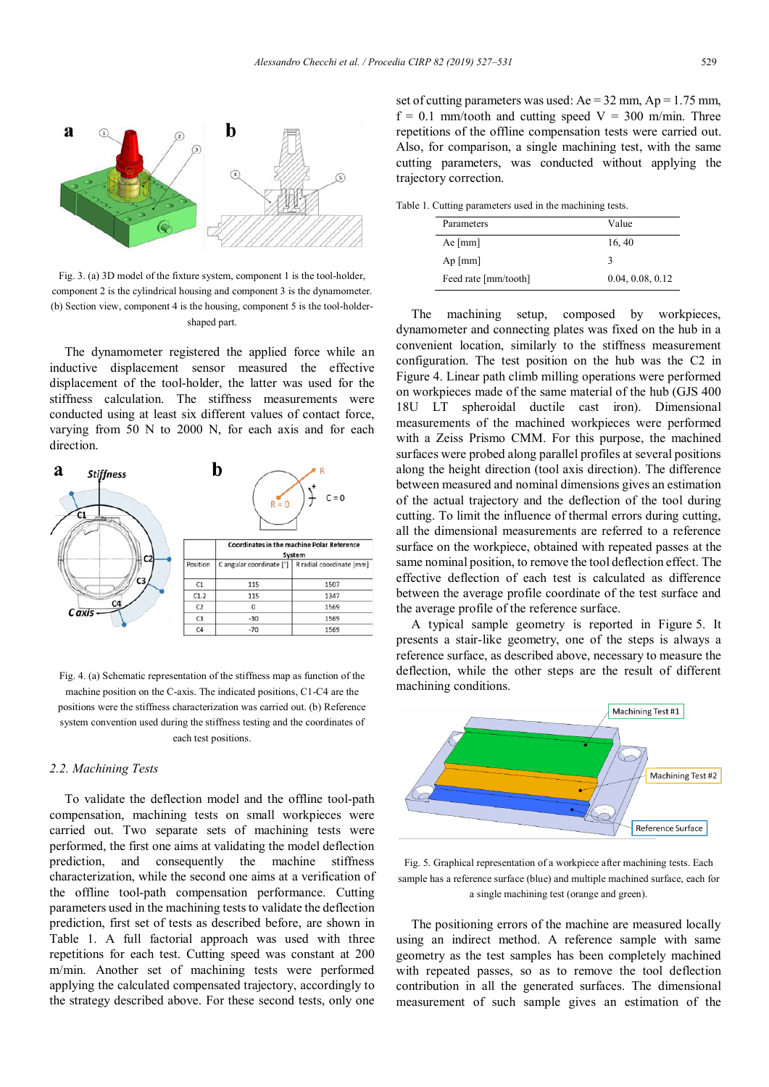

Fig. 3. (a) 3D model of the fixture system, component 1 is the tool-holder, component 2 is the cylindrical housing and component 3 is the dynamometer. (b) Section view, component 4 is the housing, component 5 is the tool-holdershaped part.

The dynamometer registered the applied force while an inductive displacement sensor measured the effective displacement of the tool-holder, the latter was used for the stiffness calculation. The stiffness measurements were conducted using at least six different values of contact force, varying from 50 N to 2000 N, for each axis and for each direction.



Fig. 4. (a) Schematic representation of the stiffness map as function of the machine position on the C-axis. The indicated positions, C1-C4 are the positions were the stiffness characterization was carried out. (b) Reference system convention used during the stiffness testing and the coordinates of each test positions.

#### *2.2. Machining Tests*

To validate the deflection model and the offline tool-path compensation, machining tests on small workpieces were carried out. Two separate sets of machining tests were performed, the first one aims at validating the model deflection prediction, and consequently the machine stiffness characterization, while the second one aims at a verification of the offline tool-path compensation performance. Cutting parameters used in the machining tests to validate the deflection prediction, first set of tests as described before, are shown in Table 1. A full factorial approach was used with three repetitions for each test. Cutting speed was constant at 200 m/min. Another set of machining tests were performed applying the calculated compensated trajectory, accordingly to the strategy described above. For these second tests, only one

set of cutting parameters was used:  $Ae = 32$  mm,  $Ap = 1.75$  mm,  $f = 0.1$  mm/tooth and cutting speed  $V = 300$  m/min. Three repetitions of the offline compensation tests were carried out. Also, for comparison, a single machining test, with the same cutting parameters, was conducted without applying the trajectory correction.

Table 1. Cutting parameters used in the machining tests.

| Parameters           | Value            |
|----------------------|------------------|
| Ae $[mm]$            | 16, 40           |
| $Ap \, [mm]$         | 3                |
| Feed rate [mm/tooth] | 0.04, 0.08, 0.12 |

The machining setup, composed by workpieces, dynamometer and connecting plates was fixed on the hub in a convenient location, similarly to the stiffness measurement configuration. The test position on the hub was the C2 in Figure 4. Linear path climb milling operations were performed on workpieces made of the same material of the hub (GJS 400 18U LT spheroidal ductile cast iron). Dimensional measurements of the machined workpieces were performed with a Zeiss Prismo CMM. For this purpose, the machined surfaces were probed along parallel profiles at several positions along the height direction (tool axis direction). The difference between measured and nominal dimensions gives an estimation of the actual trajectory and the deflection of the tool during cutting. To limit the influence of thermal errors during cutting, all the dimensional measurements are referred to a reference surface on the workpiece, obtained with repeated passes at the same nominal position, to remove the tool deflection effect. The effective deflection of each test is calculated as difference between the average profile coordinate of the test surface and the average profile of the reference surface.

A typical sample geometry is reported in Figure 5. It presents a stair-like geometry, one of the steps is always a reference surface, as described above, necessary to measure the deflection, while the other steps are the result of different machining conditions.



Fig. 5. Graphical representation of a workpiece after machining tests. Each sample has a reference surface (blue) and multiple machined surface, each for a single machining test (orange and green).

The positioning errors of the machine are measured locally using an indirect method. A reference sample with same geometry as the test samples has been completely machined with repeated passes, so as to remove the tool deflection contribution in all the generated surfaces. The dimensional measurement of such sample gives an estimation of the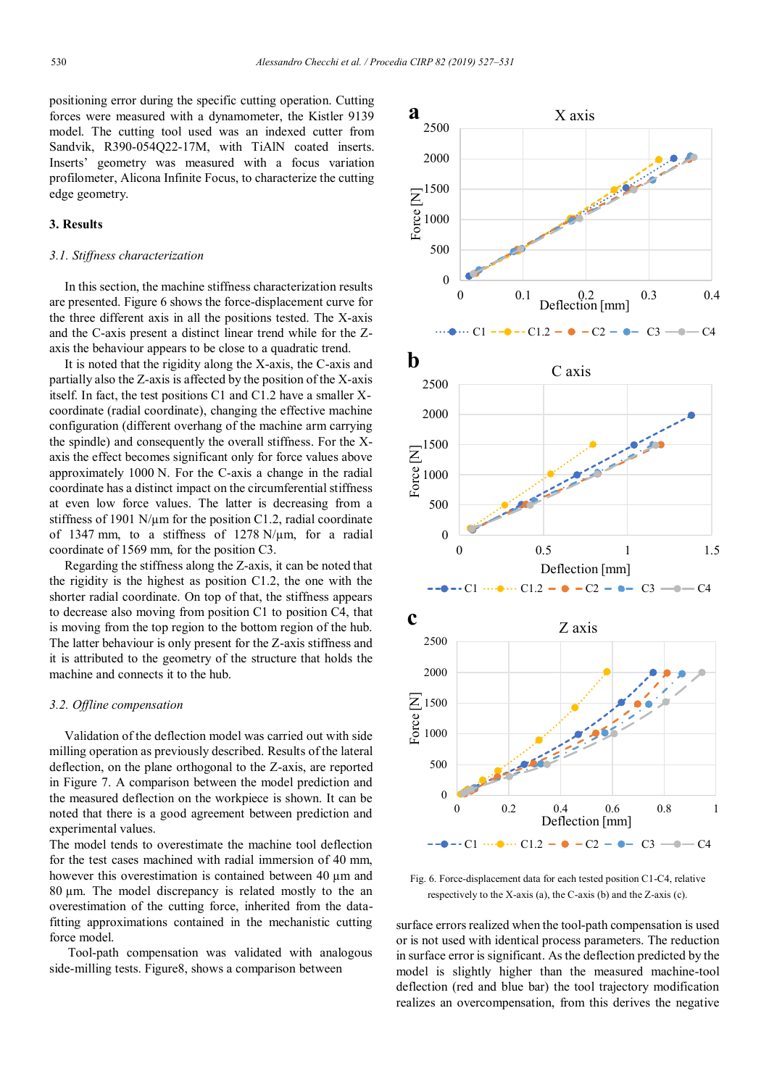positioning error during the specific cutting operation. Cutting forces were measured with a dynamometer, the Kistler 9139 model. The cutting tool used was an indexed cutter from Sandvik, R390-054Q22-17M, with TiAlN coated inserts. Inserts' geometry was measured with a focus variation profilometer, Alicona Infinite Focus, to characterize the cutting edge geometry.

#### **3. Results**

#### *3.1. Stiffness characterization*

In this section, the machine stiffness characterization results are presented. Figure 6 shows the force-displacement curve for the three different axis in all the positions tested. The X-axis and the C-axis present a distinct linear trend while for the Zaxis the behaviour appears to be close to a quadratic trend.

It is noted that the rigidity along the X-axis, the C-axis and partially also the Z-axis is affected by the position of the X-axis itself. In fact, the test positions C1 and C1.2 have a smaller Xcoordinate (radial coordinate), changing the effective machine configuration (different overhang of the machine arm carrying the spindle) and consequently the overall stiffness. For the Xaxis the effect becomes significant only for force values above approximately 1000 N. For the C-axis a change in the radial coordinate has a distinct impact on the circumferential stiffness at even low force values. The latter is decreasing from a stiffness of 1901 N/ $\mu$ m for the position C1.2, radial coordinate of 1347 mm, to a stiffness of 1278 N/µm, for a radial coordinate of 1569 mm, for the position C3.

Regarding the stiffness along the Z-axis, it can be noted that the rigidity is the highest as position C1.2, the one with the shorter radial coordinate. On top of that, the stiffness appears to decrease also moving from position C1 to position C4, that is moving from the top region to the bottom region of the hub. The latter behaviour is only present for the Z-axis stiffness and it is attributed to the geometry of the structure that holds the machine and connects it to the hub.

#### *3.2. Offline compensation*

Validation of the deflection model was carried out with side milling operation as previously described. Results of the lateral deflection, on the plane orthogonal to the Z-axis, are reported in Figure 7. A comparison between the model prediction and the measured deflection on the workpiece is shown. It can be noted that there is a good agreement between prediction and experimental values.

The model tends to overestimate the machine tool deflection for the test cases machined with radial immersion of 40 mm, however this overestimation is contained between  $40 \mu m$  and 80 µm. The model discrepancy is related mostly to the an overestimation of the cutting force, inherited from the datafitting approximations contained in the mechanistic cutting force model.

Tool-path compensation was validated with analogous side-milling tests. Figure8, shows a comparison between



Fig. 6. Force-displacement data for each tested position C1-C4, relative respectively to the X-axis (a), the C-axis (b) and the Z-axis (c).

surface errors realized when the tool-path compensation is used or is not used with identical process parameters. The reduction in surface error is significant. Asthe deflection predicted by the model is slightly higher than the measured machine-tool deflection (red and blue bar) the tool trajectory modification realizes an overcompensation, from this derives the negative